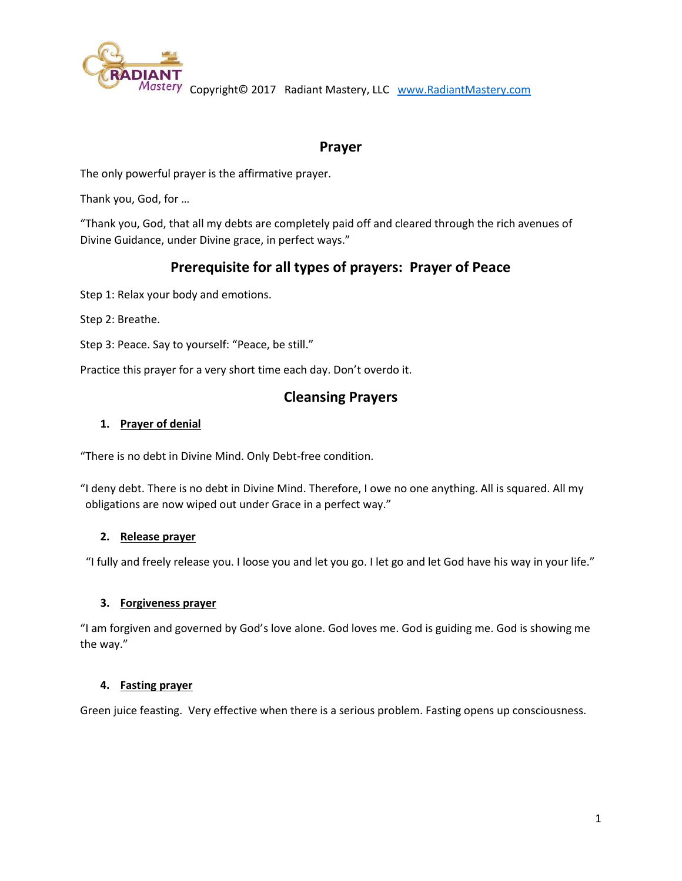

Mastery Copyright© 2017 Radiant Mastery, LLC [www.RadiantMastery.com](http://www.radiantmastery.com/)

# **Prayer**

The only powerful prayer is the affirmative prayer.

Thank you, God, for …

"Thank you, God, that all my debts are completely paid off and cleared through the rich avenues of Divine Guidance, under Divine grace, in perfect ways."

# **Prerequisite for all types of prayers: Prayer of Peace**

Step 1: Relax your body and emotions.

Step 2: Breathe.

Step 3: Peace. Say to yourself: "Peace, be still."

Practice this prayer for a very short time each day. Don't overdo it.

## **Cleansing Prayers**

#### **1. Prayer of denial**

"There is no debt in Divine Mind. Only Debt-free condition.

"I deny debt. There is no debt in Divine Mind. Therefore, I owe no one anything. All is squared. All my obligations are now wiped out under Grace in a perfect way."

#### **2. Release prayer**

"I fully and freely release you. I loose you and let you go. I let go and let God have his way in your life."

#### **3. Forgiveness prayer**

"I am forgiven and governed by God's love alone. God loves me. God is guiding me. God is showing me the way."

#### **4. Fasting prayer**

Green juice feasting. Very effective when there is a serious problem. Fasting opens up consciousness.